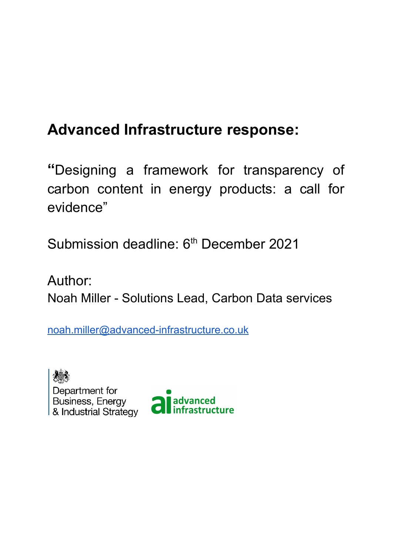# **Advanced Infrastructure response:**

**"**Designing a framework for transparency of carbon content in energy products: a call for evidence"

Submission deadline: 6<sup>th</sup> December 2021

Author: Noah Miller - Solutions Lead, Carbon Data services

[noah.miller@advanced-infrastructure.co.uk](mailto:noah.miller@advanced-infrastructure.co.uk)

Department for Business, Energy<br>& Industrial Strategy

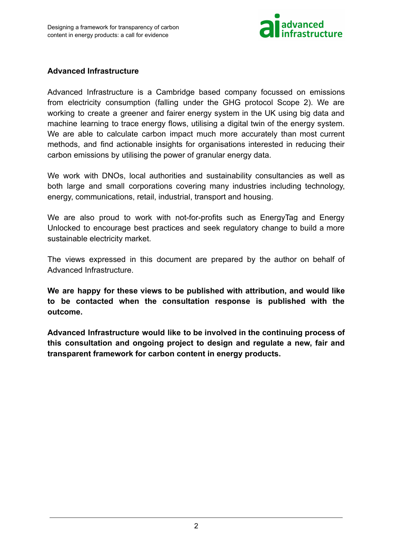

## **Advanced Infrastructure**

Advanced Infrastructure is a Cambridge based company focussed on emissions from electricity consumption (falling under the GHG protocol Scope 2). We are working to create a greener and fairer energy system in the UK using big data and machine learning to trace energy flows, utilising a digital twin of the energy system. We are able to calculate carbon impact much more accurately than most current methods, and find actionable insights for organisations interested in reducing their carbon emissions by utilising the power of granular energy data.

We work with DNOs, local authorities and sustainability consultancies as well as both large and small corporations covering many industries including technology, energy, communications, retail, industrial, transport and housing.

We are also proud to work with not-for-profits such as EnergyTag and Energy Unlocked to encourage best practices and seek regulatory change to build a more sustainable electricity market.

The views expressed in this document are prepared by the author on behalf of Advanced Infrastructure.

**We are happy for these views to be published with attribution, and would like to be contacted when the consultation response is published with the outcome.**

**Advanced Infrastructure would like to be involved in the continuing process of this consultation and ongoing project to design and regulate a new, fair and transparent framework for carbon content in energy products.**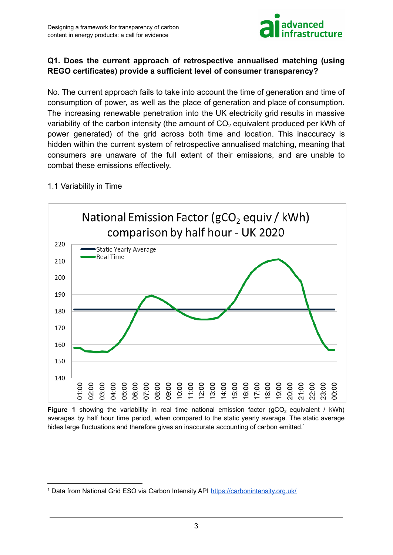

# **Q1. Does the current approach of retrospective annualised matching (using REGO certificates) provide a sufficient level of consumer transparency?**

No. The current approach fails to take into account the time of generation and time of consumption of power, as well as the place of generation and place of consumption. The increasing renewable penetration into the UK electricity grid results in massive variability of the carbon intensity (the amount of  $CO<sub>2</sub>$  equivalent produced per kWh of power generated) of the grid across both time and location. This inaccuracy is hidden within the current system of retrospective annualised matching, meaning that consumers are unaware of the full extent of their emissions, and are unable to combat these emissions effectively.

## 1.1 Variability in Time



Figure 1 showing the variability in real time national emission factor (gCO<sub>2</sub> equivalent / kWh) averages by half hour time period, when compared to the static yearly average. The static average hides large fluctuations and therefore gives an inaccurate accounting of carbon emitted.<sup>1</sup>

<sup>&</sup>lt;sup>1</sup> Data from National Grid ESO via Carbon Intensity API <https://carbonintensity.org.uk/>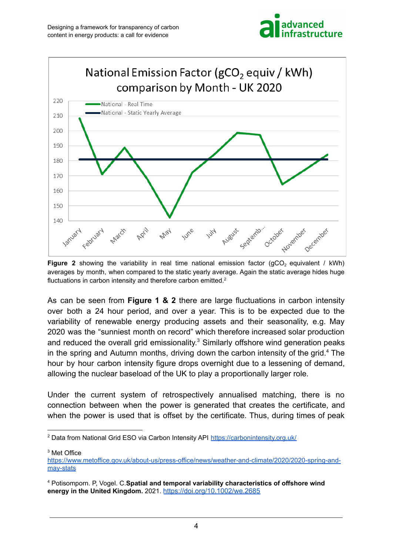



**Figure 2** showing the variability in real time national emission factor ( $qCO<sub>2</sub>$  equivalent / kWh) averages by month, when compared to the static yearly average. Again the static average hides huge fluctuations in carbon intensity and therefore carbon emitted. $2$ 

As can be seen from **Figure 1 & 2** there are large fluctuations in carbon intensity over both a 24 hour period, and over a year. This is to be expected due to the variability of renewable energy producing assets and their seasonality, e.g. May 2020 was the "sunniest month on record" which therefore increased solar production and reduced the overall grid emissionality.<sup>3</sup> Similarly offshore wind generation peaks in the spring and Autumn months, driving down the carbon intensity of the grid.<sup>4</sup> The hour by hour carbon intensity figure drops overnight due to a lessening of demand, allowing the nuclear baseload of the UK to play a proportionally larger role.

Under the current system of retrospectively annualised matching, there is no connection between when the power is generated that creates the certificate, and when the power is used that is offset by the certificate. Thus, during times of peak

<sup>3</sup> Met Office

<sup>2</sup> Data from National Grid ESO via Carbon Intensity API <https://carbonintensity.org.uk/>

[https://www.metoffice.gov.uk/about-us/press-office/news/weather-and-climate/2020/2020-spring-and](https://www.metoffice.gov.uk/about-us/press-office/news/weather-and-climate/2020/2020-spring-and-may-stats)[may-stats](https://www.metoffice.gov.uk/about-us/press-office/news/weather-and-climate/2020/2020-spring-and-may-stats)

<sup>4</sup> Potisomporn. P, Vogel. C.**Spatial and temporal variability characteristics of offshore wind energy in the United Kingdom.** 2021. <https://doi.org/10.1002/we.2685>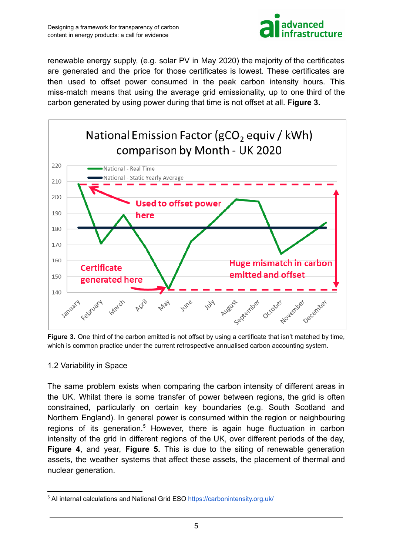

renewable energy supply, (e.g. solar PV in May 2020) the majority of the certificates are generated and the price for those certificates is lowest. These certificates are then used to offset power consumed in the peak carbon intensity hours. This miss-match means that using the average grid emissionality, up to one third of the carbon generated by using power during that time is not offset at all. **Figure 3.**



**Figure 3.** One third of the carbon emitted is not offset by using a certificate that isn't matched by time, which is common practice under the current retrospective annualised carbon accounting system.

#### 1.2 Variability in Space

The same problem exists when comparing the carbon intensity of different areas in the UK. Whilst there is some transfer of power between regions, the grid is often constrained, particularly on certain key boundaries (e.g. South Scotland and Northern England). In general power is consumed within the region or neighbouring regions of its generation.<sup>5</sup> However, there is again huge fluctuation in carbon intensity of the grid in different regions of the UK, over different periods of the day, **Figure 4**, and year, **Figure 5.** This is due to the siting of renewable generation assets, the weather systems that affect these assets, the placement of thermal and nuclear generation.

<sup>&</sup>lt;sup>5</sup> AI internal calculations and National Grid ESO <https://carbonintensity.org.uk/>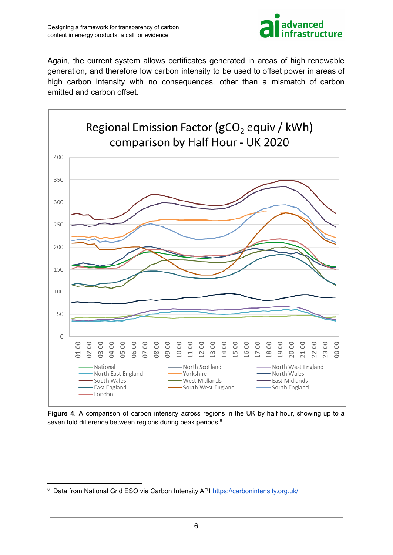

Again, the current system allows certificates generated in areas of high renewable generation, and therefore low carbon intensity to be used to offset power in areas of high carbon intensity with no consequences, other than a mismatch of carbon emitted and carbon offset.



**Figure 4**. A comparison of carbon intensity across regions in the UK by half hour, showing up to a seven fold difference between regions during peak periods.<sup>6</sup>

<sup>&</sup>lt;sup>6</sup> Data from National Grid ESO via Carbon Intensity API <https://carbonintensity.org.uk/>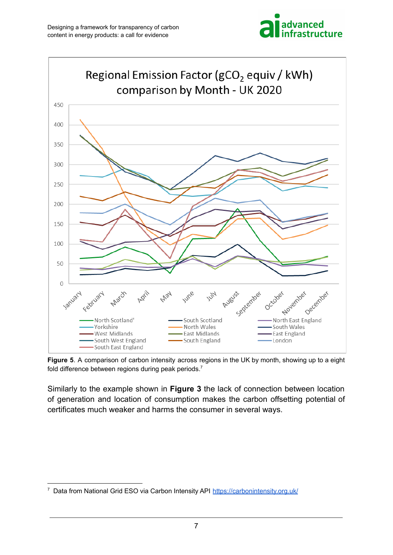



**Figure 5**. A comparison of carbon intensity across regions in the UK by month, showing up to a eight fold difference between regions during peak periods.<sup>7</sup>

Similarly to the example shown in **Figure 3** the lack of connection between location of generation and location of consumption makes the carbon offsetting potential of certificates much weaker and harms the consumer in several ways.

<sup>&</sup>lt;sup>7</sup> Data from National Grid ESO via Carbon Intensity API <https://carbonintensity.org.uk/>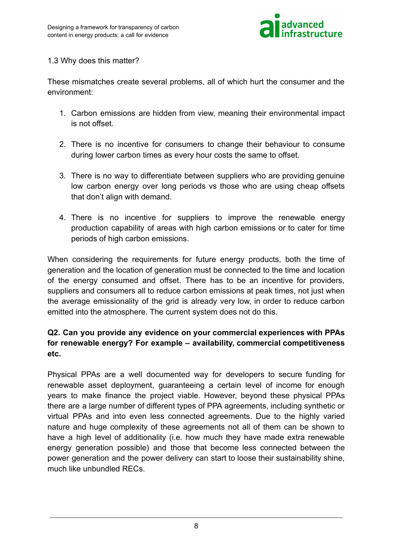

#### 1.3 Why does this matter?

These mismatches create several problems, all of which hurt the consumer and the environment:

- 1. Carbon emissions are hidden from view, meaning their environmental impact is not offset.
- 2. There is no incentive for consumers to change their behaviour to consume during lower carbon times as every hour costs the same to offset.
- 3. There is no way to differentiate between suppliers who are providing genuine low carbon energy over long periods vs those who are using cheap offsets that don't align with demand.
- 4. There is no incentive for suppliers to improve the renewable energy production capability of areas with high carbon emissions or to cater for time periods of high carbon emissions.

When considering the requirements for future energy products, both the time of generation and the location of generation must be connected to the time and location of the energy consumed and offset. There has to be an incentive for providers, suppliers and consumers all to reduce carbon emissions at peak times, not just when the average emissionality of the grid is already very low, in order to reduce carbon emitted into the atmosphere. The current system does not do this.

## **Q2. Can you provide any evidence on your commercial experiences with PPAs for renewable energy? For example – availability, commercial competitiveness etc.**

Physical PPAs are a well documented way for developers to secure funding for renewable asset deployment, guaranteeing a certain level of income for enough years to make finance the project viable. However, beyond these physical PPAs there are a large number of different types of PPA agreements, including synthetic or virtual PPAs and into even less connected agreements. Due to the highly varied nature and huge complexity of these agreements not all of them can be shown to have a high level of additionality (i.e. how much they have made extra renewable energy generation possible) and those that become less connected between the power generation and the power delivery can start to loose their sustainability shine, much like unbundled RECs.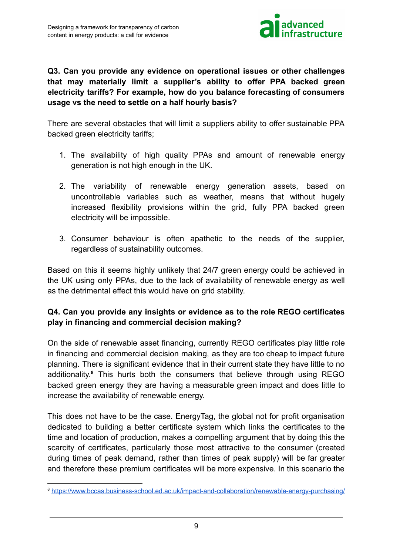

## **Q3. Can you provide any evidence on operational issues or other challenges that may materially limit a supplier's ability to offer PPA backed green electricity tariffs? For example, how do you balance forecasting of consumers usage vs the need to settle on a half hourly basis?**

There are several obstacles that will limit a suppliers ability to offer sustainable PPA backed green electricity tariffs;

- 1. The availability of high quality PPAs and amount of renewable energy generation is not high enough in the UK.
- 2. The variability of renewable energy generation assets, based on uncontrollable variables such as weather, means that without hugely increased flexibility provisions within the grid, fully PPA backed green electricity will be impossible.
- 3. Consumer behaviour is often apathetic to the needs of the supplier, regardless of sustainability outcomes.

Based on this it seems highly unlikely that 24/7 green energy could be achieved in the UK using only PPAs, due to the lack of availability of renewable energy as well as the detrimental effect this would have on grid stability.

# **Q4. Can you provide any insights or evidence as to the role REGO certificates play in financing and commercial decision making?**

On the side of renewable asset financing, currently REGO certificates play little role in financing and commercial decision making, as they are too cheap to impact future planning. There is significant evidence that in their current state they have little to no additionality. **<sup>8</sup>** This hurts both the consumers that believe through using REGO backed green energy they are having a measurable green impact and does little to increase the availability of renewable energy.

This does not have to be the case. EnergyTag, the global not for profit organisation dedicated to building a better certificate system which links the certificates to the time and location of production, makes a compelling argument that by doing this the scarcity of certificates, particularly those most attractive to the consumer (created during times of peak demand, rather than times of peak supply) will be far greater and therefore these premium certificates will be more expensive. In this scenario the

<sup>8</sup> <https://www.bccas.business-school.ed.ac.uk/impact-and-collaboration/renewable-energy-purchasing/>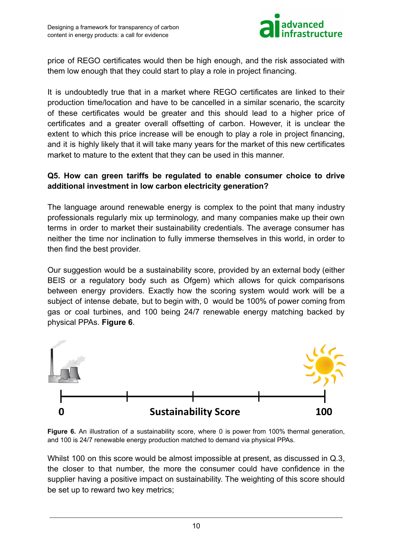

price of REGO certificates would then be high enough, and the risk associated with them low enough that they could start to play a role in project financing.

It is undoubtedly true that in a market where REGO certificates are linked to their production time/location and have to be cancelled in a similar scenario, the scarcity of these certificates would be greater and this should lead to a higher price of certificates and a greater overall offsetting of carbon. However, it is unclear the extent to which this price increase will be enough to play a role in project financing, and it is highly likely that it will take many years for the market of this new certificates market to mature to the extent that they can be used in this manner.

## **Q5. How can green tariffs be regulated to enable consumer choice to drive additional investment in low carbon electricity generation?**

The language around renewable energy is complex to the point that many industry professionals regularly mix up terminology, and many companies make up their own terms in order to market their sustainability credentials. The average consumer has neither the time nor inclination to fully immerse themselves in this world, in order to then find the best provider.

Our suggestion would be a sustainability score, provided by an external body (either BEIS or a regulatory body such as Ofgem) which allows for quick comparisons between energy providers. Exactly how the scoring system would work will be a subject of intense debate, but to begin with, 0 would be 100% of power coming from gas or coal turbines, and 100 being 24/7 renewable energy matching backed by physical PPAs. **Figure 6**.



**Figure 6.** An illustration of a sustainability score, where 0 is power from 100% thermal generation, and 100 is 24/7 renewable energy production matched to demand via physical PPAs.

Whilst 100 on this score would be almost impossible at present, as discussed in Q.3, the closer to that number, the more the consumer could have confidence in the supplier having a positive impact on sustainability. The weighting of this score should be set up to reward two key metrics;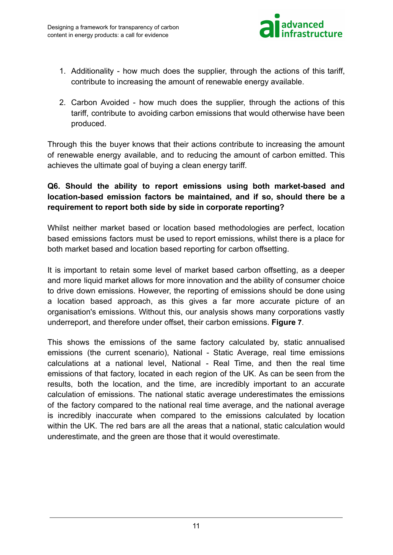

- 1. Additionality how much does the supplier, through the actions of this tariff, contribute to increasing the amount of renewable energy available.
- 2. Carbon Avoided how much does the supplier, through the actions of this tariff, contribute to avoiding carbon emissions that would otherwise have been produced.

Through this the buyer knows that their actions contribute to increasing the amount of renewable energy available, and to reducing the amount of carbon emitted. This achieves the ultimate goal of buying a clean energy tariff.

# **Q6. Should the ability to report emissions using both market-based and location-based emission factors be maintained, and if so, should there be a requirement to report both side by side in corporate reporting?**

Whilst neither market based or location based methodologies are perfect, location based emissions factors must be used to report emissions, whilst there is a place for both market based and location based reporting for carbon offsetting.

It is important to retain some level of market based carbon offsetting, as a deeper and more liquid market allows for more innovation and the ability of consumer choice to drive down emissions. However, the reporting of emissions should be done using a location based approach, as this gives a far more accurate picture of an organisation's emissions. Without this, our analysis shows many corporations vastly underreport, and therefore under offset, their carbon emissions. **Figure 7**.

This shows the emissions of the same factory calculated by, static annualised emissions (the current scenario), National - Static Average, real time emissions calculations at a national level, National - Real Time, and then the real time emissions of that factory, located in each region of the UK. As can be seen from the results, both the location, and the time, are incredibly important to an accurate calculation of emissions. The national static average underestimates the emissions of the factory compared to the national real time average, and the national average is incredibly inaccurate when compared to the emissions calculated by location within the UK. The red bars are all the areas that a national, static calculation would underestimate, and the green are those that it would overestimate.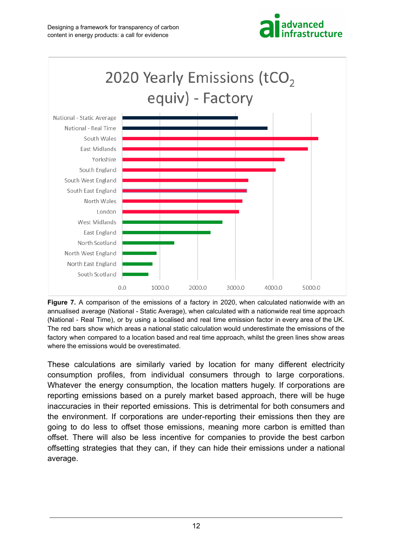



**Figure 7.** A comparison of the emissions of a factory in 2020, when calculated nationwide with an annualised average (National - Static Average), when calculated with a nationwide real time approach (National - Real Time), or by using a localised and real time emission factor in every area of the UK. The red bars show which areas a national static calculation would underestimate the emissions of the factory when compared to a location based and real time approach, whilst the green lines show areas where the emissions would be overestimated.

These calculations are similarly varied by location for many different electricity consumption profiles, from individual consumers through to large corporations. Whatever the energy consumption, the location matters hugely. If corporations are reporting emissions based on a purely market based approach, there will be huge inaccuracies in their reported emissions. This is detrimental for both consumers and the environment. If corporations are under-reporting their emissions then they are going to do less to offset those emissions, meaning more carbon is emitted than offset. There will also be less incentive for companies to provide the best carbon offsetting strategies that they can, if they can hide their emissions under a national average.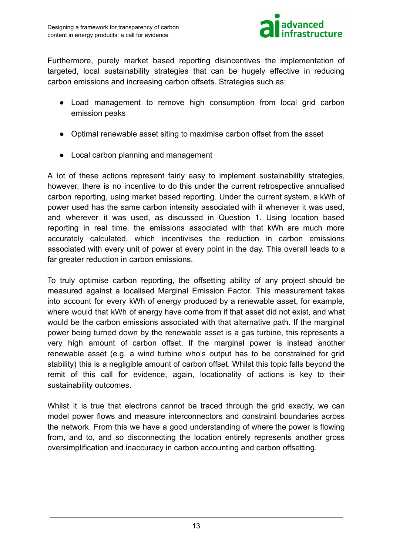

Furthermore, purely market based reporting disincentives the implementation of targeted, local sustainability strategies that can be hugely effective in reducing carbon emissions and increasing carbon offsets. Strategies such as;

- Load management to remove high consumption from local grid carbon emission peaks
- Optimal renewable asset siting to maximise carbon offset from the asset
- Local carbon planning and management

A lot of these actions represent fairly easy to implement sustainability strategies, however, there is no incentive to do this under the current retrospective annualised carbon reporting, using market based reporting. Under the current system, a kWh of power used has the same carbon intensity associated with it whenever it was used, and wherever it was used, as discussed in Question 1. Using location based reporting in real time, the emissions associated with that kWh are much more accurately calculated, which incentivises the reduction in carbon emissions associated with every unit of power at every point in the day. This overall leads to a far greater reduction in carbon emissions.

To truly optimise carbon reporting, the offsetting ability of any project should be measured against a localised Marginal Emission Factor. This measurement takes into account for every kWh of energy produced by a renewable asset, for example, where would that kWh of energy have come from if that asset did not exist, and what would be the carbon emissions associated with that alternative path. If the marginal power being turned down by the renewable asset is a gas turbine, this represents a very high amount of carbon offset. If the marginal power is instead another renewable asset (e.g. a wind turbine who's output has to be constrained for grid stability) this is a negligible amount of carbon offset. Whilst this topic falls beyond the remit of this call for evidence, again, locationality of actions is key to their sustainability outcomes.

Whilst it is true that electrons cannot be traced through the grid exactly, we can model power flows and measure interconnectors and constraint boundaries across the network. From this we have a good understanding of where the power is flowing from, and to, and so disconnecting the location entirely represents another gross oversimplification and inaccuracy in carbon accounting and carbon offsetting.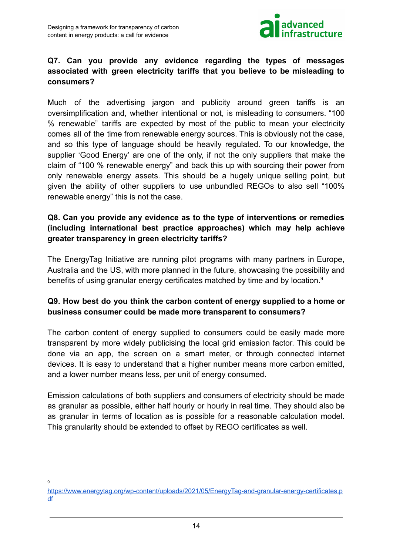

## **Q7. Can you provide any evidence regarding the types of messages associated with green electricity tariffs that you believe to be misleading to consumers?**

Much of the advertising jargon and publicity around green tariffs is an oversimplification and, whether intentional or not, is misleading to consumers. "100 % renewable" tariffs are expected by most of the public to mean your electricity comes all of the time from renewable energy sources. This is obviously not the case, and so this type of language should be heavily regulated. To our knowledge, the supplier 'Good Energy' are one of the only, if not the only suppliers that make the claim of "100 % renewable energy" and back this up with sourcing their power from only renewable energy assets. This should be a hugely unique selling point, but given the ability of other suppliers to use unbundled REGOs to also sell "100% renewable energy" this is not the case.

## **Q8. Can you provide any evidence as to the type of interventions or remedies (including international best practice approaches) which may help achieve greater transparency in green electricity tariffs?**

The EnergyTag Initiative are running pilot programs with many partners in Europe, Australia and the US, with more planned in the future, showcasing the possibility and benefits of using granular energy certificates matched by time and by location.<sup>9</sup>

# **Q9. How best do you think the carbon content of energy supplied to a home or business consumer could be made more transparent to consumers?**

The carbon content of energy supplied to consumers could be easily made more transparent by more widely publicising the local grid emission factor. This could be done via an app, the screen on a smart meter, or through connected internet devices. It is easy to understand that a higher number means more carbon emitted, and a lower number means less, per unit of energy consumed.

Emission calculations of both suppliers and consumers of electricity should be made as granular as possible, either half hourly or hourly in real time. They should also be as granular in terms of location as is possible for a reasonable calculation model. This granularity should be extended to offset by REGO certificates as well.

<sup>9</sup>

[https://www.energytag.org/wp-content/uploads/2021/05/EnergyTag-and-granular-energy-certificates.p](https://www.energytag.org/wp-content/uploads/2021/05/EnergyTag-and-granular-energy-certificates.pdf) [df](https://www.energytag.org/wp-content/uploads/2021/05/EnergyTag-and-granular-energy-certificates.pdf)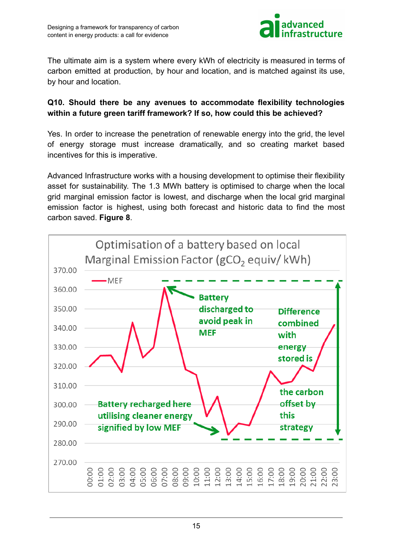

The ultimate aim is a system where every kWh of electricity is measured in terms of carbon emitted at production, by hour and location, and is matched against its use, by hour and location.

## **Q10. Should there be any avenues to accommodate flexibility technologies within a future green tariff framework? If so, how could this be achieved?**

Yes. In order to increase the penetration of renewable energy into the grid, the level of energy storage must increase dramatically, and so creating market based incentives for this is imperative.

Advanced Infrastructure works with a housing development to optimise their flexibility asset for sustainability. The 1.3 MWh battery is optimised to charge when the local grid marginal emission factor is lowest, and discharge when the local grid marginal emission factor is highest, using both forecast and historic data to find the most carbon saved. **Figure 8**.

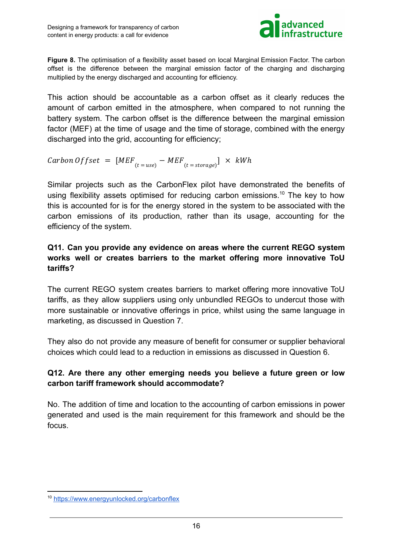

**Figure 8.** The optimisation of a flexibility asset based on local Marginal Emission Factor. The carbon offset is the difference between the marginal emission factor of the charging and discharging multiplied by the energy discharged and accounting for efficiency.

This action should be accountable as a carbon offset as it clearly reduces the amount of carbon emitted in the atmosphere, when compared to not running the battery system. The carbon offset is the difference between the marginal emission factor (MEF) at the time of usage and the time of storage, combined with the energy discharged into the grid, accounting for efficiency;

$$
Carbon \; Offset \; = \; [MEF_{(t = use)} - MEF_{(t = storage)}] \; \times \; kWh
$$

Similar projects such as the CarbonFlex pilot have demonstrated the benefits of using flexibility assets optimised for reducing carbon emissions.<sup>10</sup> The key to how this is accounted for is for the energy stored in the system to be associated with the carbon emissions of its production, rather than its usage, accounting for the efficiency of the system.

# **Q11. Can you provide any evidence on areas where the current REGO system works well or creates barriers to the market offering more innovative ToU tariffs?**

The current REGO system creates barriers to market offering more innovative ToU tariffs, as they allow suppliers using only unbundled REGOs to undercut those with more sustainable or innovative offerings in price, whilst using the same language in marketing, as discussed in Question 7.

They also do not provide any measure of benefit for consumer or supplier behavioral choices which could lead to a reduction in emissions as discussed in Question 6.

# **Q12. Are there any other emerging needs you believe a future green or low carbon tariff framework should accommodate?**

No. The addition of time and location to the accounting of carbon emissions in power generated and used is the main requirement for this framework and should be the focus.

<sup>10</sup> <https://www.energyunlocked.org/carbonflex>